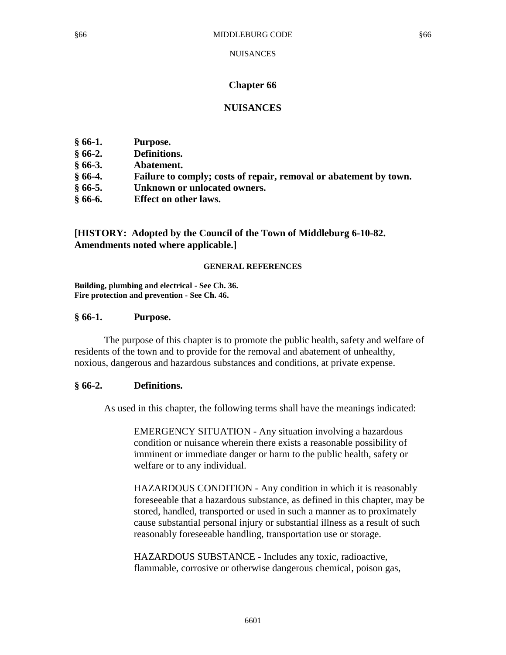### NUISANCES

# **Chapter 66**

# **NUISANCES**

| $§ 66-1.$ | Purpose. |
|-----------|----------|
|           |          |

- **§ 66-2. Definitions.**
- **§ 66-3. Abatement.**
- **§ 66-4. Failure to comply; costs of repair, removal or abatement by town.**
- **§ 66-5. Unknown or unlocated owners.**
- **§ 66-6. Effect on other laws.**

# **[HISTORY: Adopted by the Council of the Town of Middleburg 6-10-82. Amendments noted where applicable.]**

## **GENERAL REFERENCES**

**Building, plumbing and electrical - See Ch. 36. Fire protection and prevention - See Ch. 46.**

## **§ 66-1. Purpose.**

The purpose of this chapter is to promote the public health, safety and welfare of residents of the town and to provide for the removal and abatement of unhealthy, noxious, dangerous and hazardous substances and conditions, at private expense.

# **§ 66-2. Definitions.**

As used in this chapter, the following terms shall have the meanings indicated:

EMERGENCY SITUATION - Any situation involving a hazardous condition or nuisance wherein there exists a reasonable possibility of imminent or immediate danger or harm to the public health, safety or welfare or to any individual.

HAZARDOUS CONDITION - Any condition in which it is reasonably foreseeable that a hazardous substance, as defined in this chapter, may be stored, handled, transported or used in such a manner as to proximately cause substantial personal injury or substantial illness as a result of such reasonably foreseeable handling, transportation use or storage.

HAZARDOUS SUBSTANCE - Includes any toxic, radioactive, flammable, corrosive or otherwise dangerous chemical, poison gas,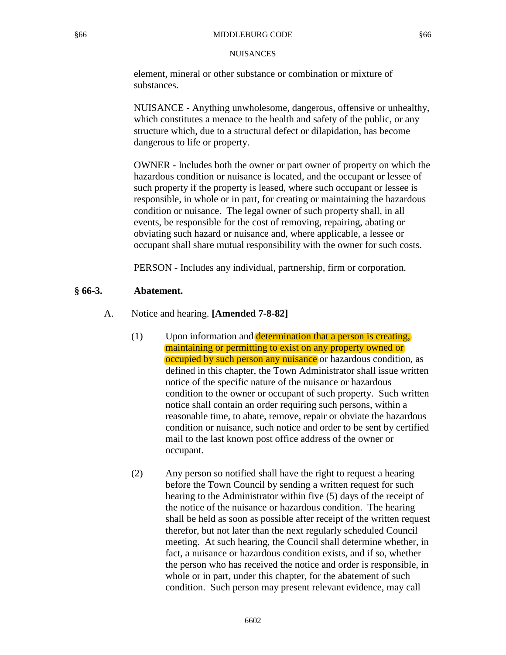#### §66 MIDDLEBURG CODE §66

#### NUISANCES

element, mineral or other substance or combination or mixture of substances.

NUISANCE - Anything unwholesome, dangerous, offensive or unhealthy, which constitutes a menace to the health and safety of the public, or any structure which, due to a structural defect or dilapidation, has become dangerous to life or property.

OWNER - Includes both the owner or part owner of property on which the hazardous condition or nuisance is located, and the occupant or lessee of such property if the property is leased, where such occupant or lessee is responsible, in whole or in part, for creating or maintaining the hazardous condition or nuisance. The legal owner of such property shall, in all events, be responsible for the cost of removing, repairing, abating or obviating such hazard or nuisance and, where applicable, a lessee or occupant shall share mutual responsibility with the owner for such costs.

PERSON - Includes any individual, partnership, firm or corporation.

### **§ 66-3. Abatement.**

- A. Notice and hearing. **[Amended 7-8-82]**
	- (1) Upon information and determination that a person is creating, maintaining or permitting to exist on any property owned or occupied by such person any nuisance or hazardous condition, as defined in this chapter, the Town Administrator shall issue written notice of the specific nature of the nuisance or hazardous condition to the owner or occupant of such property. Such written notice shall contain an order requiring such persons, within a reasonable time, to abate, remove, repair or obviate the hazardous condition or nuisance, such notice and order to be sent by certified mail to the last known post office address of the owner or occupant.
	- (2) Any person so notified shall have the right to request a hearing before the Town Council by sending a written request for such hearing to the Administrator within five (5) days of the receipt of the notice of the nuisance or hazardous condition. The hearing shall be held as soon as possible after receipt of the written request therefor, but not later than the next regularly scheduled Council meeting. At such hearing, the Council shall determine whether, in fact, a nuisance or hazardous condition exists, and if so, whether the person who has received the notice and order is responsible, in whole or in part, under this chapter, for the abatement of such condition. Such person may present relevant evidence, may call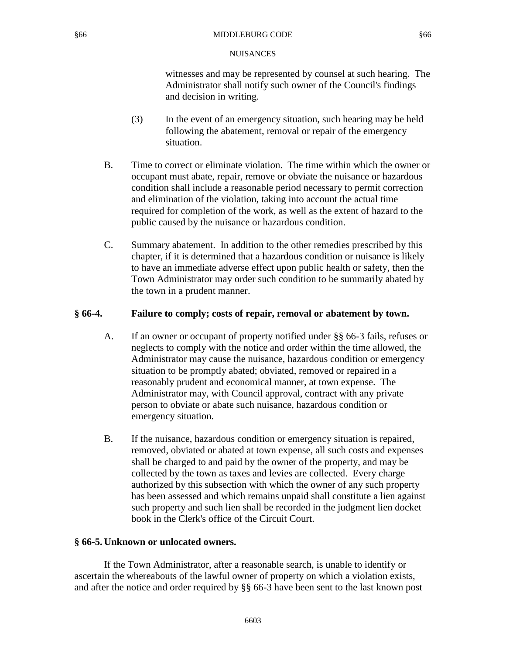#### §66 MIDDLEBURG CODE §66

### NUISANCES

witnesses and may be represented by counsel at such hearing. The Administrator shall notify such owner of the Council's findings and decision in writing.

- (3) In the event of an emergency situation, such hearing may be held following the abatement, removal or repair of the emergency situation.
- B. Time to correct or eliminate violation. The time within which the owner or occupant must abate, repair, remove or obviate the nuisance or hazardous condition shall include a reasonable period necessary to permit correction and elimination of the violation, taking into account the actual time required for completion of the work, as well as the extent of hazard to the public caused by the nuisance or hazardous condition.
- C. Summary abatement. In addition to the other remedies prescribed by this chapter, if it is determined that a hazardous condition or nuisance is likely to have an immediate adverse effect upon public health or safety, then the Town Administrator may order such condition to be summarily abated by the town in a prudent manner.

## **§ 66-4. Failure to comply; costs of repair, removal or abatement by town.**

- A. If an owner or occupant of property notified under §§ 66-3 fails, refuses or neglects to comply with the notice and order within the time allowed, the Administrator may cause the nuisance, hazardous condition or emergency situation to be promptly abated; obviated, removed or repaired in a reasonably prudent and economical manner, at town expense. The Administrator may, with Council approval, contract with any private person to obviate or abate such nuisance, hazardous condition or emergency situation.
- B. If the nuisance, hazardous condition or emergency situation is repaired, removed, obviated or abated at town expense, all such costs and expenses shall be charged to and paid by the owner of the property, and may be collected by the town as taxes and levies are collected. Every charge authorized by this subsection with which the owner of any such property has been assessed and which remains unpaid shall constitute a lien against such property and such lien shall be recorded in the judgment lien docket book in the Clerk's office of the Circuit Court.

## **§ 66-5. Unknown or unlocated owners.**

If the Town Administrator, after a reasonable search, is unable to identify or ascertain the whereabouts of the lawful owner of property on which a violation exists, and after the notice and order required by §§ 66-3 have been sent to the last known post